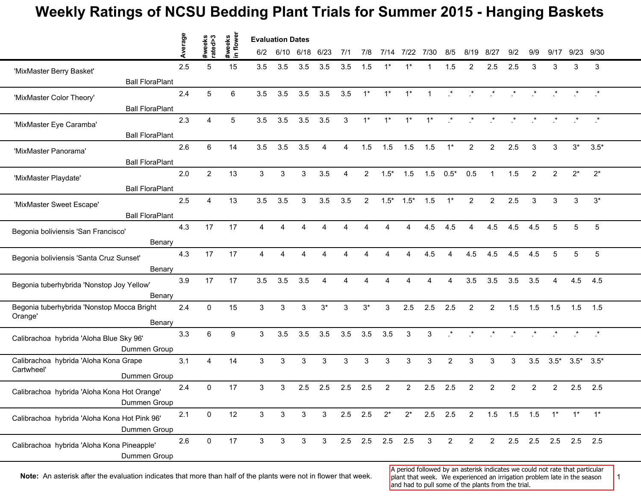## **Weekly Ratings of NCSU Bedding Plant Trials for Summer 2015 - Hanging Baskets**

|                                                             | Average | #weeks<br>rated>3       | #weeks<br>in flower |              | <b>Evaluation Dates</b> |              |                |           |                |                 |                                           |                |                |                                |                       |                |                 |                     |                                                                          |                 |  |
|-------------------------------------------------------------|---------|-------------------------|---------------------|--------------|-------------------------|--------------|----------------|-----------|----------------|-----------------|-------------------------------------------|----------------|----------------|--------------------------------|-----------------------|----------------|-----------------|---------------------|--------------------------------------------------------------------------|-----------------|--|
|                                                             |         |                         |                     | 6/2          | 6/10 6/18 6/23          |              |                | 7/1       | 7/8            |                 | 7/14 7/22                                 | 7/30           | 8/5            | 8/19                           | -8/27                 | 9/2            | 9/9             | 9/17                |                                                                          | 9/23 9/30       |  |
| 'MixMaster Berry Basket'                                    | 2.5     | 5                       | 15                  | 3.5          | 3.5                     | 3.5          | 3.5            | 3.5       | 1.5            | 1*              |                                           |                | 1.5            | 2                              | 2.5                   | 2.5            | 3               | 3                   | 3                                                                        | 3               |  |
| <b>Ball FloraPlant</b>                                      |         |                         |                     |              |                         |              |                |           |                |                 |                                           |                |                |                                |                       |                |                 |                     |                                                                          |                 |  |
| 'MixMaster Color Theory'                                    | 2.4     | 5                       | 6                   | 3.5          | 3.5                     | 3.5          | 3.5            | 3.5       | $1^*$          | $1^*$           | $1^*$                                     | $\overline{1}$ |                |                                |                       |                |                 |                     |                                                                          | $\cdot$         |  |
| <b>Ball FloraPlant</b>                                      |         |                         |                     |              |                         |              |                |           |                |                 |                                           |                |                |                                |                       |                |                 |                     |                                                                          |                 |  |
| 'MixMaster Eye Caramba'                                     | 2.3     | 4                       | 5                   | 3.5          | 3.5                     | 3.5          | 3.5            | 3         | $1^*$          | $1^*$           | $1^*$                                     | $1^*$          | $\cdot$        | $\cdot$                        | $\mathcal{R}^{\star}$ |                | $\star$ $\star$ |                     | $\qquad \qquad \star$ $\qquad \qquad \star$                              |                 |  |
| <b>Ball FloraPlant</b>                                      |         |                         |                     |              |                         |              |                |           |                |                 |                                           |                |                |                                |                       |                |                 |                     |                                                                          |                 |  |
| 'MixMaster Panorama'                                        | 2.6     | 6                       | 14                  | 3.5          | 3.5                     | 3.5          | $\overline{4}$ | 4         | 1.5            | 1.5             | 1.5                                       | 1.5            | $1^*$          | $\overline{2}$                 | $\overline{2}$        | 2.5            | 3               | 3                   | $3^*$                                                                    | $3.5*$          |  |
| <b>Ball FloraPlant</b>                                      |         |                         |                     |              |                         |              |                |           |                |                 |                                           |                |                |                                |                       |                |                 |                     |                                                                          |                 |  |
| 'MixMaster Playdate'                                        | 2.0     | $\overline{2}$          | 13                  | 3            | 3                       | 3            | 3.5            | 4         | $\overline{2}$ | $1.5*$          | 1.5                                       |                | $1.5 \t 0.5^*$ | 0.5                            |                       | 1.5            | 2               | $\overline{2}$      | $2^*$                                                                    | $2^*$           |  |
| <b>Ball FloraPlant</b>                                      |         |                         |                     |              |                         |              |                |           |                |                 |                                           |                |                |                                |                       |                |                 |                     |                                                                          |                 |  |
| 'MixMaster Sweet Escape'                                    | 2.5     | $\overline{\mathbf{4}}$ | 13                  | 3.5          | 3.5                     | 3            | 3.5            | 3.5       | $\overline{2}$ | $1.5*$          | $1.5*$                                    | 1.5            | $1^*$          | $\overline{2}$                 | $\overline{2}$        | 2.5            | 3               | 3                   | 3                                                                        | $3^*$           |  |
| <b>Ball FloraPlant</b>                                      |         |                         |                     |              |                         |              |                |           |                |                 |                                           |                |                |                                |                       |                |                 |                     |                                                                          |                 |  |
|                                                             | 4.3     | 17                      | 17                  | 4            | 4                       | Δ            | 4              | 4         |                |                 | 4                                         | 4.5            | 4.5            | 4                              | 4.5                   | 4.5            | 4.5             | 5                   | 5                                                                        | $5\phantom{.0}$ |  |
| Begonia boliviensis 'San Francisco'<br>Benary               |         |                         |                     |              |                         |              |                |           |                |                 |                                           |                |                |                                |                       |                |                 |                     |                                                                          |                 |  |
|                                                             | 4.3     | 17                      | 17                  | 4            |                         |              |                | 4         |                |                 | 4.5<br>4.5<br>4.5<br>4.5<br>4.5<br>5<br>4 | 5              | 5              |                                |                       |                |                 |                     |                                                                          |                 |  |
| Begonia boliviensis 'Santa Cruz Sunset'<br>Benary           |         |                         |                     |              |                         |              |                |           |                |                 |                                           |                |                |                                |                       |                |                 |                     |                                                                          |                 |  |
|                                                             | 3.9     | 17                      | 17                  | 3.5          | 3.5                     | 3.5          | 4              |           |                |                 |                                           |                |                | 3.5                            | 3.5                   | 3.5            | 3.5             | 4                   | 4.5                                                                      | 4.5             |  |
| Begonia tuberhybrida 'Nonstop Joy Yellow'<br>Benary         |         |                         |                     |              |                         |              |                |           |                |                 |                                           |                |                |                                |                       |                |                 |                     |                                                                          |                 |  |
| Begonia tuberhybrida 'Nonstop Mocca Bright                  | 2.4     | $\mathbf{0}$            | 15                  | 3            | 3                       | 3            | $3^*$          | 3         | $3^*$          | 3               | 2.5                                       | 2.5            | 2.5            | 2                              | $\overline{2}$        | 1.5            | 1.5             | 1.5                 | 1.5                                                                      | 1.5             |  |
| Orange'<br>Benary                                           |         |                         |                     |              |                         |              |                |           |                |                 |                                           |                |                |                                |                       |                |                 |                     |                                                                          |                 |  |
|                                                             | 3.3     | 6                       | 9                   | 3            | 3.5                     | 3.5          | 3.5            | 3.5       | 3.5            | 3.5             | 3                                         | $\mathbf{3}$   | $\cdot$        | $\mathbf{r}$                   | $\cdot$ *             |                | $\star$ $\star$ |                     | $\begin{array}{cccccccccc} \star & \star & \star & \star \\ \end{array}$ |                 |  |
| Calibrachoa hybrida 'Aloha Blue Sky 96'<br>Dummen Group     |         |                         |                     |              |                         |              |                |           |                |                 |                                           |                |                |                                |                       |                |                 |                     |                                                                          |                 |  |
| Calibrachoa hybrida 'Aloha Kona Grape                       | 3.1     | 4                       | 14                  | 3            | $\mathbf{3}$            | 3            | 3              | 3         | 3              | 3               | 3                                         | 3              | 2              | 3                              | 3                     | 3              | 3.5             |                     | $3.5^*$ $3.5^*$ $3.5^*$                                                  |                 |  |
| Cartwheel'<br>Dummen Group                                  |         |                         |                     |              |                         |              |                |           |                |                 |                                           |                |                |                                |                       |                |                 |                     |                                                                          |                 |  |
|                                                             | 2.4     | 0                       | 17                  | 3            | 3                       | 2.5          | 2.5            | 2.5       | 2.5            | 2               | $\overline{2}$                            | 2.5            | 2.5            | 2                              | 2                     | $\overline{2}$ | $\overline{c}$  | $\overline{2}$      | 2.5                                                                      | 2.5             |  |
| Calibrachoa hybrida 'Aloha Kona Hot Orange'<br>Dummen Group |         |                         |                     |              |                         |              |                |           |                |                 |                                           |                |                |                                |                       |                |                 |                     |                                                                          |                 |  |
|                                                             | 2.1     | 0                       | 12                  | 3            | 3                       | $\mathbf{3}$ | $\mathbf{3}$   | $2.5$ 2.5 |                | $2^*$           | $2^*$                                     |                |                | 2.5 2.5 2 1.5 1.5 1.5 1* 1* 1* |                       |                |                 |                     |                                                                          |                 |  |
| Calibrachoa hybrida 'Aloha Kona Hot Pink 96'                |         |                         |                     |              |                         |              |                |           |                |                 |                                           |                |                |                                |                       |                |                 |                     |                                                                          |                 |  |
| Dummen Group                                                | 2.6     | $\mathsf{O}\xspace$     | $17$                | $\mathbf{3}$ | 3                       | $\mathbf{3}$ | 3 <sup>1</sup> |           |                | 2.5 2.5 2.5 2.5 |                                           | $\mathbf{3}$   | $\overline{2}$ | $\overline{2}$                 | $\overline{2}$        |                |                 | 2.5 2.5 2.5 2.5 2.5 |                                                                          |                 |  |
| Calibrachoa hybrida 'Aloha Kona Pineapple'                  |         |                         |                     |              |                         |              |                |           |                |                 |                                           |                |                |                                |                       |                |                 |                     |                                                                          |                 |  |
| Dummen Group                                                |         |                         |                     |              |                         |              |                |           |                |                 |                                           |                |                |                                |                       |                |                 |                     |                                                                          |                 |  |

Note: An asterisk after the evaluation indicates that more than half of the plants were not in flower that week. In plant that week. We experienced an irrigation problem late in the season 1

A period followed by an asterisk indicates we could not rate that particular plant that week. We experienced an irrigation problem late in the season and had to pull some of the plants from the trial.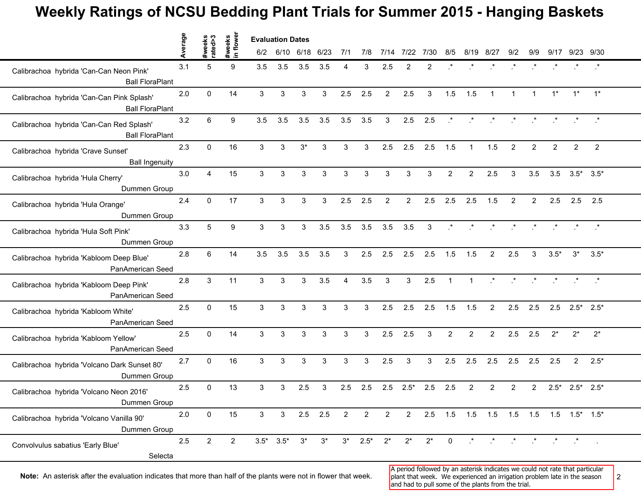## **Weekly Ratings of NCSU Bedding Plant Trials for Summer 2015 - Hanging Baskets**

|                                                                     | Average | #weeks<br>rated>3 | flower<br>#weeks | <b>Evaluation Dates</b> |                 |           |       |                |                |                |                |              |                |                |                          |              |                 |                                         |                                                                             |                |  |
|---------------------------------------------------------------------|---------|-------------------|------------------|-------------------------|-----------------|-----------|-------|----------------|----------------|----------------|----------------|--------------|----------------|----------------|--------------------------|--------------|-----------------|-----------------------------------------|-----------------------------------------------------------------------------|----------------|--|
|                                                                     |         |                   | $\mathbf{a}$     | 6/2                     | 6/10 6/18 6/23  |           |       | 7/1            | 7/8            | 7/14           | 7/22           | 7/30         | 8/5            | 8/19           | -8/27                    | 9/2          | 9/9             | 9/17                                    |                                                                             | 9/23 9/30      |  |
| Calibrachoa hybrida 'Can-Can Neon Pink'<br><b>Ball FloraPlant</b>   | 3.1     | 5                 | 9                | 3.5                     | 3.5             | 3.5       | 3.5   | 4              | 3              | 2.5            | 2              | 2            |                |                |                          |              |                 |                                         |                                                                             |                |  |
| Calibrachoa hybrida 'Can-Can Pink Splash'<br><b>Ball FloraPlant</b> | 2.0     | $\mathbf{0}$      | 14               | $\mathbf{3}$            | 3               | 3         | 3     | 2.5            | 2.5            | 2              | 2.5            | 3            | 1.5            | 1.5            | $\mathbf{1}$             | $\mathbf{1}$ | $\overline{1}$  | $1^*$                                   | $1^*$                                                                       | $1^*$          |  |
| Calibrachoa hybrida 'Can-Can Red Splash'<br><b>Ball FloraPlant</b>  | 3.2     | 6                 | 9                | 3.5                     | 3.5             | 3.5       | 3.5   | 3.5            | 3.5            | 3              | 2.5            | 2.5          | $\cdot$        |                | $\star$ $\qquad$ $\star$ |              | $\star$ $\star$ |                                         | $\begin{array}{cccccccccc} \star & & \star & & \star & & \star \end{array}$ |                |  |
| Calibrachoa hybrida 'Crave Sunset'<br><b>Ball Ingenuity</b>         | 2.3     | $\mathbf{0}$      | 16               | 3                       | 3               | $3^*$     | 3     | 3              | 3              | 2.5            | 2.5            | 2.5          | 1.5            | $\overline{1}$ | 1.5                      | 2            | $\overline{2}$  | $\overline{2}$                          | $\overline{2}$                                                              | $\overline{2}$ |  |
| Calibrachoa hybrida 'Hula Cherry'<br>Dummen Group                   | 3.0     | $\overline{4}$    | 15               | 3                       | 3               | 3         | 3     | 3              | 3              | 3              | 3              | 3            | 2              | 2              | 2.5                      | 3            | 3.5             | 3.5                                     | $3.5^*$ $3.5^*$                                                             |                |  |
| Calibrachoa hybrida 'Hula Orange'<br>Dummen Group                   | 2.4     | $\mathbf 0$       | 17               | $\mathbf{3}$            | 3               | 3         | 3     | 2.5            | 2.5            | $\overline{2}$ | $\overline{2}$ | 2.5          | 2.5            | 2.5            | 1.5                      | 2            | $\overline{2}$  | 2.5                                     | 2.5                                                                         | 2.5            |  |
| Calibrachoa hybrida 'Hula Soft Pink'<br>Dummen Group                | 3.3     | 5                 | 9                | 3                       | 3               | 3         | 3.5   | 3.5            | 3.5            | 3.5            | 3.5            | $\mathbf{3}$ | $\cdot$ *      | $\mathbf{r}$   | $\mathcal{F}$            |              | $\star$ $\star$ |                                         | $\begin{array}{ccccccccc} \star & & \star & & \star & & \star \end{array}$  |                |  |
| Calibrachoa hybrida 'Kabloom Deep Blue'<br>PanAmerican Seed         | 2.8     | 6                 | 14               | 3.5                     | 3.5             | 3.5       | 3.5   | 3              | 2.5            | 2.5            | 2.5            | 2.5          | 1.5            | 1.5            | $\overline{2}$           | 2.5          | 3               | $3.5*$                                  | $3^*$                                                                       | $3.5*$         |  |
| Calibrachoa hybrida 'Kabloom Deep Pink'<br>PanAmerican Seed         | 2.8     | $\mathbf{3}$      | 11               | 3                       | 3               | 3         | 3.5   | 4              | 3.5            | 3              | 3              | 2.5          | $\mathbf{1}$   | $\mathbf{1}$   | $\cdot^*$                | $\cdot$      |                 |                                         |                                                                             |                |  |
| Calibrachoa hybrida 'Kabloom White'<br>PanAmerican Seed             | 2.5     | $\mathbf 0$       | 15               | $\mathbf{3}$            | 3               | 3         | 3     | 3              | 3              | 2.5            | 2.5            | 2.5          | 1.5            | 1.5            | $\overline{2}$           | 2.5          | 2.5             | 2.5                                     | $2.5^*$ 2.5*                                                                |                |  |
| Calibrachoa hybrida 'Kabloom Yellow'<br>PanAmerican Seed            | 2.5     | $\mathbf{0}$      | 14               | 3                       | 3               | 3         | 3     | 3              | 3              | 2.5            | 2.5            | 3            | $\overline{2}$ | $\overline{2}$ | $\overline{2}$           | 2.5          | 2.5             | $2^*$                                   | $2^*$                                                                       | $2^*$          |  |
| Calibrachoa hybrida 'Volcano Dark Sunset 80'<br>Dummen Group        | 2.7     | $\mathbf 0$       | 16               | $\mathbf{3}$            | 3               | 3         | 3     | 3              | 3              | 2.5            | 3              | 3            | 2.5            | 2.5            | 2.5                      | 2.5          | 2.5             | 2.5                                     | $\overline{2}$                                                              | $2.5*$         |  |
| Calibrachoa hybrida 'Volcano Neon 2016'<br>Dummen Group             | 2.5     | 0                 | 13               | 3                       | 3               | 2.5       | 3     | 2.5            | 2.5            | 2.5            | $2.5*$         | 2.5          | 2.5            | 2              | 2                        | 2            | $\overline{2}$  | $2.5*$                                  | $2.5^*$ 2.5*                                                                |                |  |
| Calibrachoa hybrida 'Volcano Vanilla 90'<br>Dummen Group            | 2.0     | $\mathbf 0$       | 15               | 3                       | 3 <sup>1</sup>  | $2.5$ 2.5 |       | $\overline{2}$ | $\overline{2}$ | $\overline{2}$ | $2^{\circ}$    |              |                |                |                          |              |                 | 2.5 1.5 1.5 1.5 1.5 1.5 1.5 1.5 1.5 1.5 |                                                                             |                |  |
| Convolvulus sabatius 'Early Blue'<br>Selecta                        | 2.5     | $\overline{2}$    | $\overline{2}$   |                         | $3.5^*$ $3.5^*$ | $3^*$     | $3^*$ |                | $3^*$ 2.5*     | $2^*$          | $2^*$          | $2^*$        | $\mathbf 0$    |                | $\star$ $\star$          |              | $\star$ $\star$ | $\star$ $\qquad$ $\star$                |                                                                             |                |  |

Note: An asterisk after the evaluation indicates that more than half of the plants were not in flower that week. <sup>2</sup> plant that week. We experienced an irrigation problem late in the season 2

A period followed by an asterisk indicates we could not rate that particular plant that week. We experienced an irrigation problem late in the season and had to pull some of the plants from the trial.